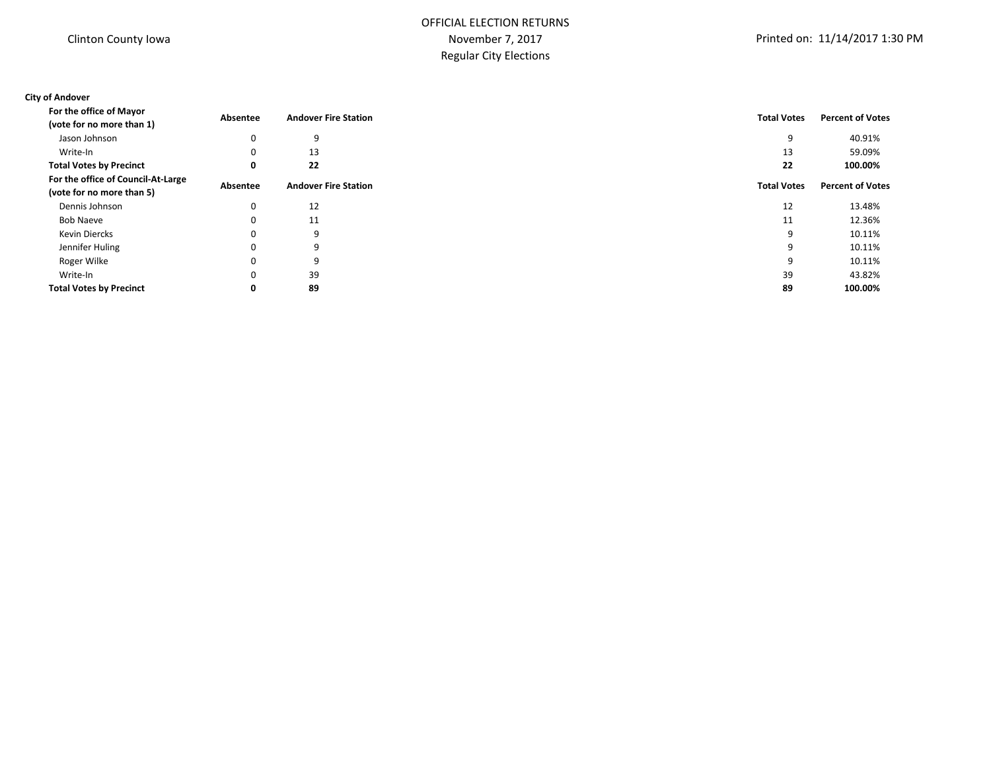# OFFICIAL ELECTION RETURNS November 7, 2017 Regular City Elections

### **City of Andover**

| For the office of Mayor                                         | Absentee | <b>Andover Fire Station</b> | <b>Total Votes</b> | <b>Percent of Votes</b> |
|-----------------------------------------------------------------|----------|-----------------------------|--------------------|-------------------------|
| (vote for no more than 1)                                       |          |                             |                    |                         |
| Jason Johnson                                                   | 0        | 9                           | 9                  | 40.91%                  |
| Write-In                                                        | 0        | 13                          | 13                 | 59.09%                  |
| <b>Total Votes by Precinct</b>                                  | 0        | 22                          | 22                 | 100.00%                 |
| For the office of Council-At-Large<br>(vote for no more than 5) | Absentee | <b>Andover Fire Station</b> | <b>Total Votes</b> | <b>Percent of Votes</b> |
| Dennis Johnson                                                  | 0        | 12                          | 12                 | 13.48%                  |
| <b>Bob Naeve</b>                                                | 0        | 11                          | 11                 | 12.36%                  |
| <b>Kevin Diercks</b>                                            | 0        | 9                           | 9                  | 10.11%                  |
| Jennifer Huling                                                 | 0        | 9                           | 9                  | 10.11%                  |
| Roger Wilke                                                     | 0        | 9                           | 9                  | 10.11%                  |
| Write-In                                                        | 0        | 39                          | 39                 | 43.82%                  |
| <b>Total Votes by Precinct</b>                                  | 0        | 89                          | 89                 | 100.00%                 |
|                                                                 |          |                             |                    |                         |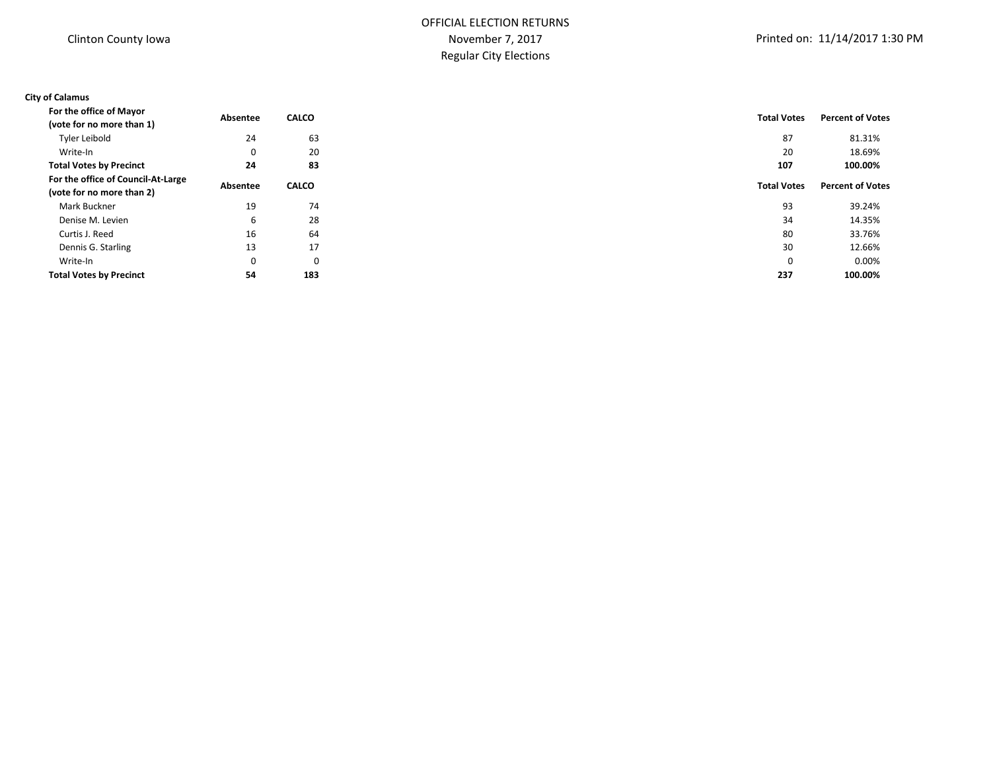### **City of Calamus**

| For the office of Mayor            | Absentee | <b>CALCO</b> | <b>Total Votes</b> | <b>Percent of Votes</b> |
|------------------------------------|----------|--------------|--------------------|-------------------------|
| (vote for no more than 1)          |          |              |                    |                         |
| Tyler Leibold                      | 24       | 63           | 87                 | 81.31%                  |
| Write-In                           | 0        | 20           | 20                 | 18.69%                  |
| <b>Total Votes by Precinct</b>     | 24       | 83           | 107                | 100.00%                 |
| For the office of Council-At-Large | Absentee | <b>CALCO</b> | <b>Total Votes</b> | <b>Percent of Votes</b> |
| (vote for no more than 2)          |          |              |                    |                         |
| Mark Buckner                       | 19       | 74           | 93                 | 39.24%                  |
| Denise M. Levien                   | 6        | 28           | 34                 | 14.35%                  |
| Curtis J. Reed                     | 16       | 64           | 80                 | 33.76%                  |
| Dennis G. Starling                 | 13       | 17           | 30                 | 12.66%                  |
| Write-In                           | 0        | 0            | 0                  | 0.00%                   |
| <b>Total Votes by Precinct</b>     | 54       | 183          | 237                | 100.00%                 |
|                                    |          |              |                    |                         |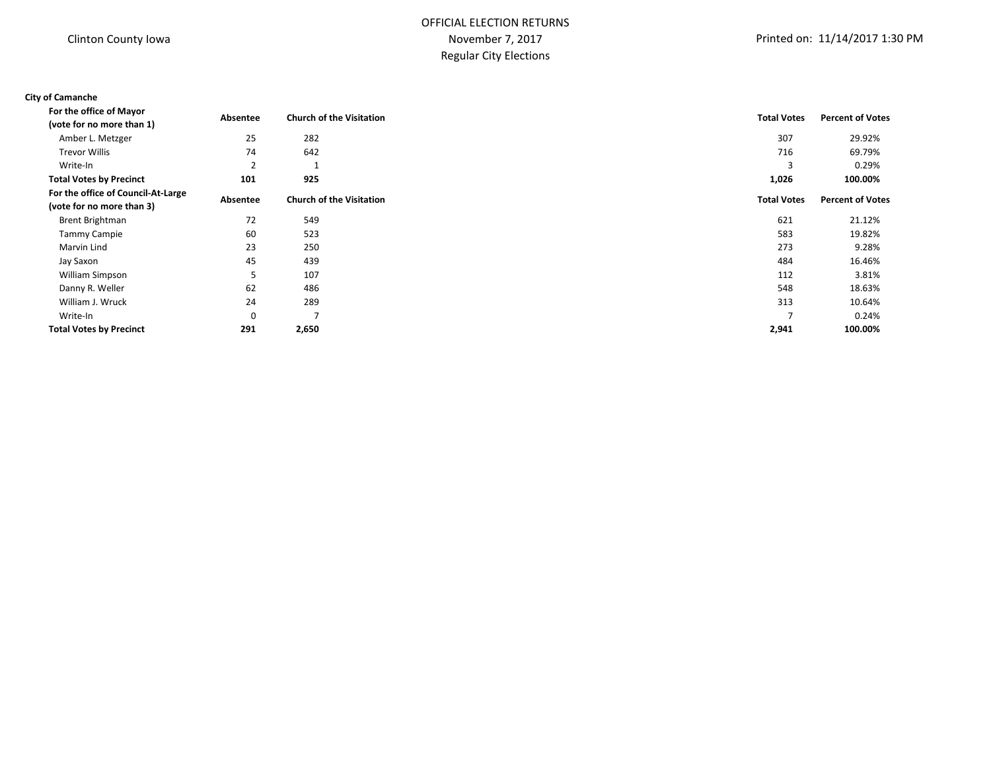# OFFICIAL ELECTION RETURNS November 7, 2017 Regular City Elections

#### **City of Camanche**

| For the office of Mayor            | Absentee | <b>Church of the Visitation</b> | <b>Total Votes</b> | <b>Percent of Votes</b> |
|------------------------------------|----------|---------------------------------|--------------------|-------------------------|
| (vote for no more than 1)          |          |                                 |                    |                         |
| Amber L. Metzger                   | 25       | 282                             | 307                | 29.92%                  |
| <b>Trevor Willis</b>               | 74       | 642                             | 716                | 69.79%                  |
| Write-In                           | 2        |                                 | 3                  | 0.29%                   |
| <b>Total Votes by Precinct</b>     | 101      | 925                             | 1,026              | 100.00%                 |
| For the office of Council-At-Large | Absentee | <b>Church of the Visitation</b> | <b>Total Votes</b> | <b>Percent of Votes</b> |
| (vote for no more than 3)          |          |                                 |                    |                         |
| Brent Brightman                    | 72       | 549                             | 621                | 21.12%                  |
| <b>Tammy Campie</b>                | 60       | 523                             | 583                | 19.82%                  |
| Marvin Lind                        | 23       | 250                             | 273                | 9.28%                   |
| Jay Saxon                          | 45       | 439                             | 484                | 16.46%                  |
| William Simpson                    | 5        | 107                             | 112                | 3.81%                   |
| Danny R. Weller                    | 62       | 486                             | 548                | 18.63%                  |
| William J. Wruck                   | 24       | 289                             | 313                | 10.64%                  |
| Write-In                           | 0        | $\overline{7}$                  |                    | 0.24%                   |
| <b>Total Votes by Precinct</b>     | 291      | 2,650                           | 2,941              | 100.00%                 |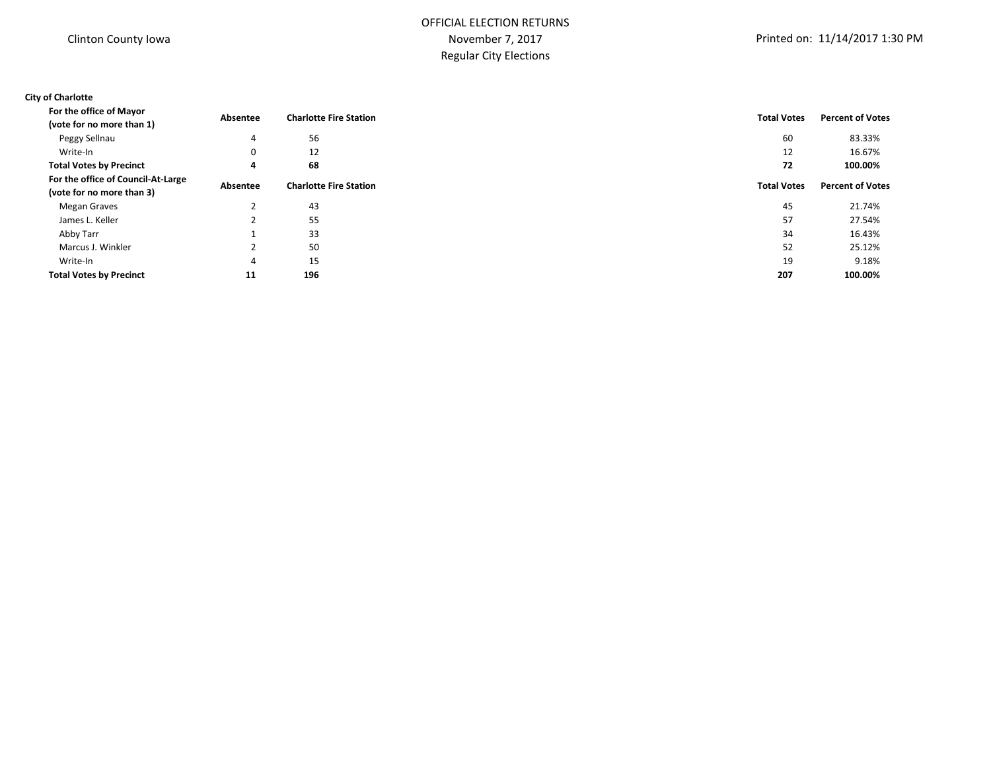### **City of Charlotte**

| For the office of Mayor<br>(vote for no more than 1)            | Absentee | <b>Charlotte Fire Station</b> | <b>Total Votes</b> | <b>Percent of Votes</b> |
|-----------------------------------------------------------------|----------|-------------------------------|--------------------|-------------------------|
| Peggy Sellnau                                                   | 4        | 56                            | 60                 | 83.33%                  |
| Write-In                                                        | 0        | 12                            | 12                 | 16.67%                  |
| <b>Total Votes by Precinct</b>                                  | 4        | 68                            | 72                 | 100.00%                 |
| For the office of Council-At-Large<br>(vote for no more than 3) | Absentee | <b>Charlotte Fire Station</b> | <b>Total Votes</b> | <b>Percent of Votes</b> |
| Megan Graves                                                    |          | 43                            | 45                 | 21.74%                  |
| James L. Keller                                                 |          | 55                            | 57                 | 27.54%                  |
| Abby Tarr                                                       |          | 33                            | 34                 | 16.43%                  |
| Marcus J. Winkler                                               |          | 50                            | 52                 | 25.12%                  |
| Write-In                                                        | 4        | 15                            | 19                 | 9.18%                   |
| <b>Total Votes by Precinct</b>                                  | 11       | 196                           | 207                | 100.00%                 |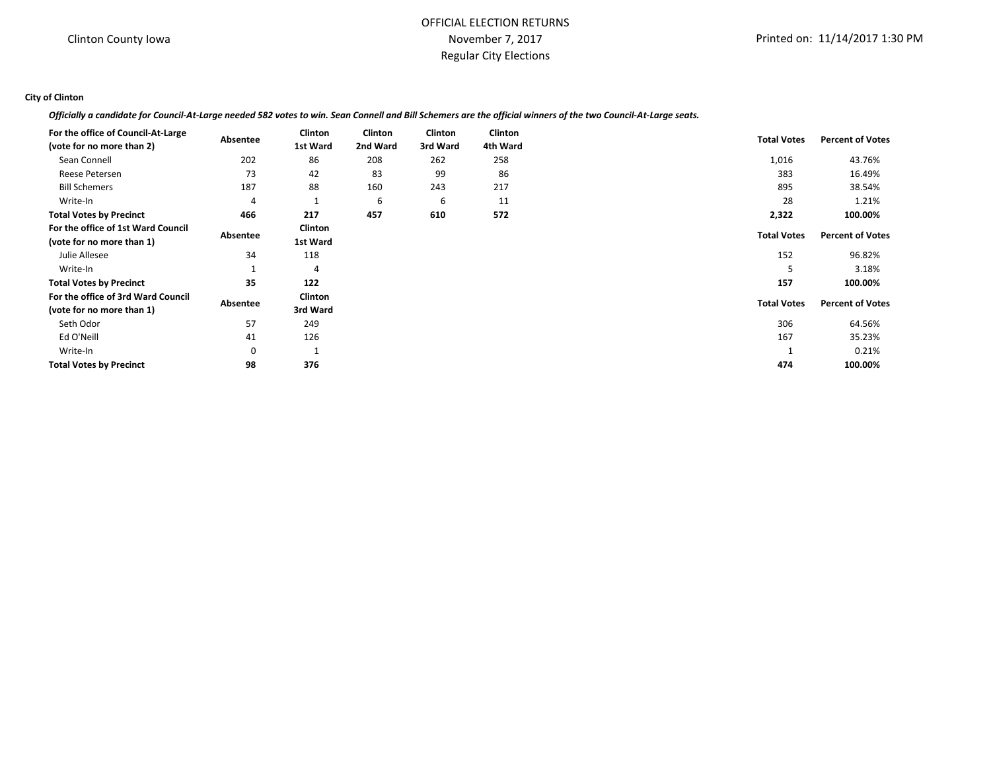#### **City of Clinton**

*Officially a candidate for Council-At-Large needed 582 votes to win. Sean Connell and Bill Schemers are the official winners of the two Council-At-Large seats.*

| For the office of Council-At-Large |          | <b>Clinton</b> | Clinton  | <b>Clinton</b> | <b>Clinton</b> |                    |                         |
|------------------------------------|----------|----------------|----------|----------------|----------------|--------------------|-------------------------|
| (vote for no more than 2)          | Absentee | 1st Ward       | 2nd Ward | 3rd Ward       | 4th Ward       | <b>Total Votes</b> | <b>Percent of Votes</b> |
| Sean Connell                       | 202      | 86             | 208      | 262            | 258            | 1,016              | 43.76%                  |
| Reese Petersen                     | 73       | 42             | 83       | 99             | 86             | 383                | 16.49%                  |
| <b>Bill Schemers</b>               | 187      | 88             | 160      | 243            | 217            | 895                | 38.54%                  |
| Write-In                           | 4        |                | 6        | 6              | 11             | 28                 | 1.21%                   |
| <b>Total Votes by Precinct</b>     | 466      | 217            | 457      | 610            | 572            | 2,322              | 100.00%                 |
| For the office of 1st Ward Council | Absentee | Clinton        |          |                |                | <b>Total Votes</b> | <b>Percent of Votes</b> |
| (vote for no more than 1)          |          | 1st Ward       |          |                |                |                    |                         |
| Julie Allesee                      | 34       | 118            |          |                |                | 152                | 96.82%                  |
| Write-In                           |          | 4              |          |                |                | 5                  | 3.18%                   |
| <b>Total Votes by Precinct</b>     | 35       | 122            |          |                |                | 157                | 100.00%                 |
| For the office of 3rd Ward Council |          | Clinton        |          |                |                | <b>Total Votes</b> | <b>Percent of Votes</b> |
| (vote for no more than 1)          | Absentee | 3rd Ward       |          |                |                |                    |                         |
| Seth Odor                          | 57       | 249            |          |                |                | 306                | 64.56%                  |
| Ed O'Neill                         | 41       | 126            |          |                |                | 167                | 35.23%                  |
| Write-In                           | 0        |                |          |                |                |                    | 0.21%                   |
| <b>Total Votes by Precinct</b>     | 98       | 376            |          |                |                | 474                | 100.00%                 |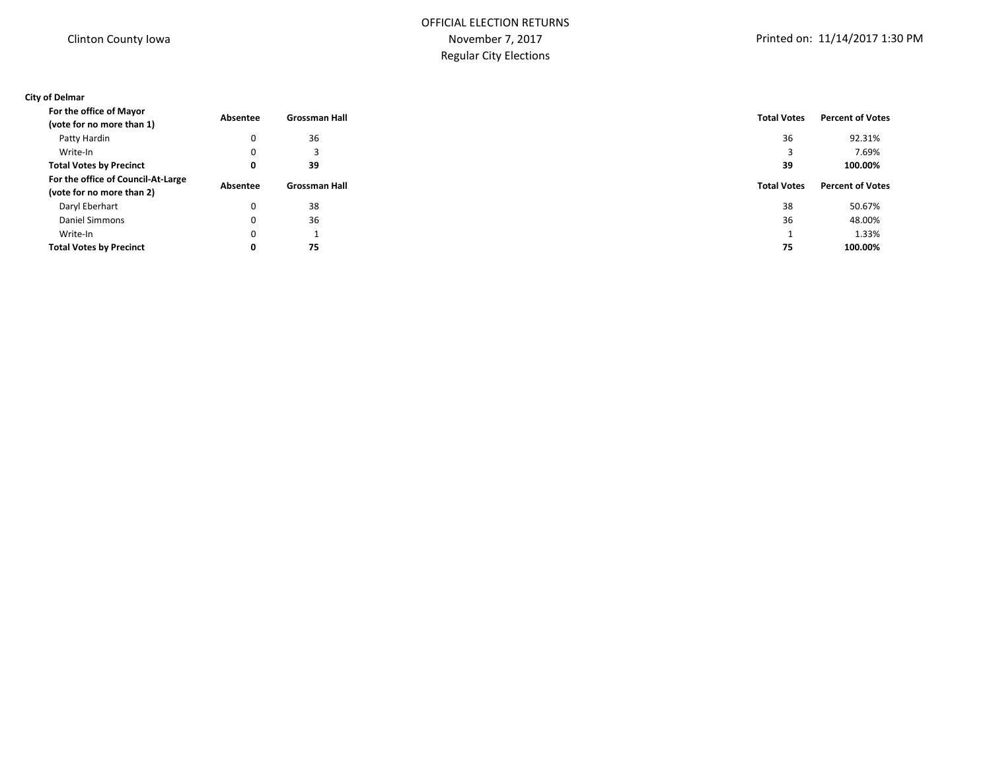### **City of Delmar**

| For the office of Mayor<br>(vote for no more than 1)            | Absentee | <b>Grossman Hall</b> | <b>Total Votes</b> | <b>Percent of Votes</b> |
|-----------------------------------------------------------------|----------|----------------------|--------------------|-------------------------|
| Patty Hardin                                                    | 0        | 36                   | 36                 | 92.31%                  |
| Write-In                                                        | 0        | 3                    |                    | 7.69%                   |
| <b>Total Votes by Precinct</b>                                  | 0        | 39                   | 39                 | 100.00%                 |
| For the office of Council-At-Large<br>(vote for no more than 2) | Absentee | <b>Grossman Hall</b> | <b>Total Votes</b> | <b>Percent of Votes</b> |
| Daryl Eberhart                                                  | 0        | 38                   | 38                 | 50.67%                  |
| Daniel Simmons                                                  | 0        | 36                   | 36                 | 48.00%                  |
| Write-In                                                        | 0        |                      |                    | 1.33%                   |
| <b>Total Votes by Precinct</b>                                  | 0        | 75                   | 75                 | 100.00%                 |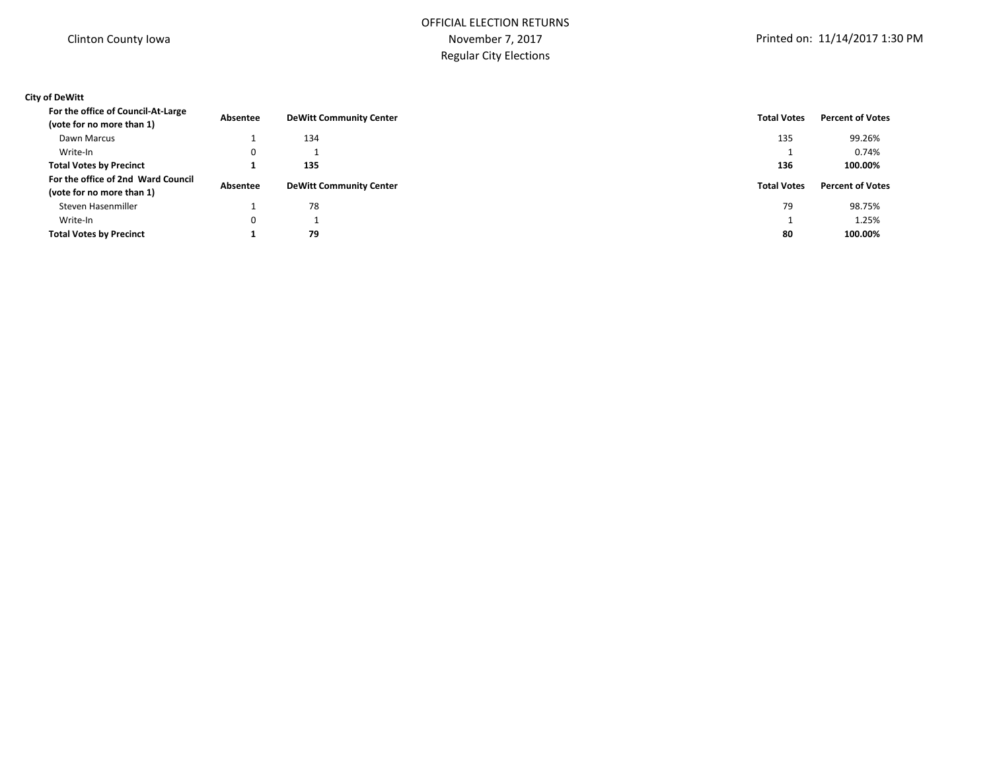### **City of DeWitt**

| For the office of Council-At-Large<br>(vote for no more than 1) | Absentee | <b>DeWitt Community Center</b> | <b>Total Votes</b> | <b>Percent of Votes</b> |
|-----------------------------------------------------------------|----------|--------------------------------|--------------------|-------------------------|
| Dawn Marcus                                                     |          | 134                            | 135                | 99.26%                  |
| Write-In                                                        | 0        |                                |                    | 0.74%                   |
| <b>Total Votes by Precinct</b>                                  |          | 135                            | 136                | 100.00%                 |
| For the office of 2nd Ward Council                              |          |                                |                    |                         |
| (vote for no more than 1)                                       | Absentee | <b>DeWitt Community Center</b> | <b>Total Votes</b> | <b>Percent of Votes</b> |
| Steven Hasenmiller                                              |          | 78                             | 79                 | 98.75%                  |
| Write-In                                                        | 0        |                                |                    | 1.25%                   |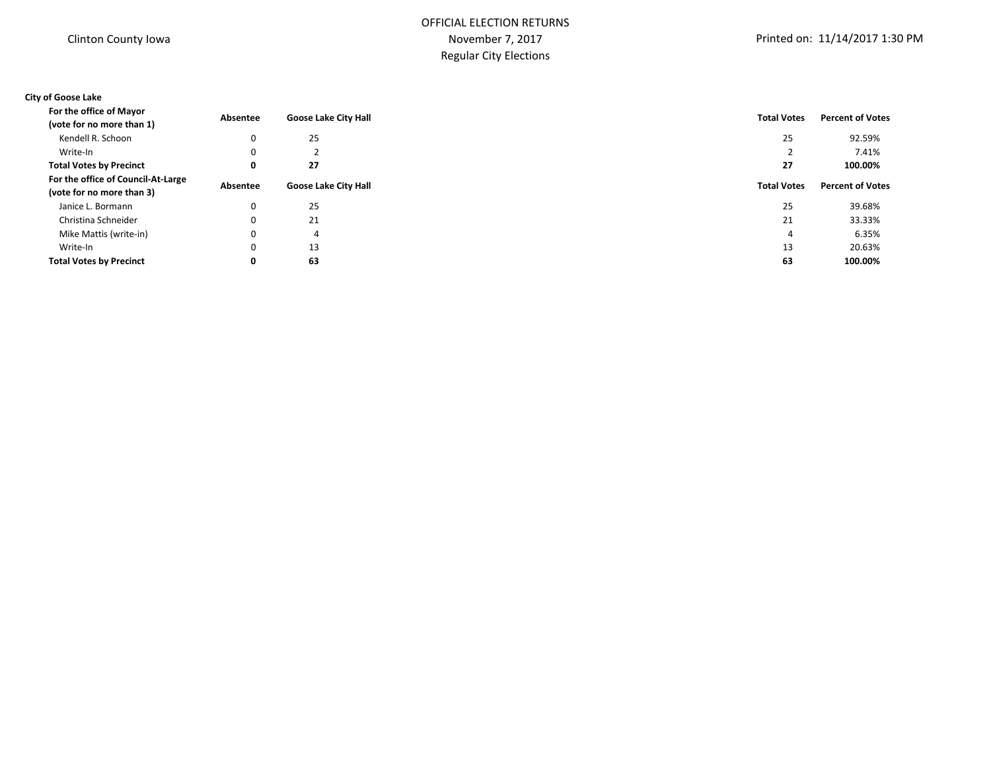### **City of Goose Lake**

| For the office of Mayor            | Absentee | <b>Goose Lake City Hall</b> | <b>Total Votes</b> | <b>Percent of Votes</b> |
|------------------------------------|----------|-----------------------------|--------------------|-------------------------|
| (vote for no more than 1)          |          |                             |                    |                         |
| Kendell R. Schoon                  | 0        | 25                          | 25                 | 92.59%                  |
| Write-In                           | $\Omega$ |                             |                    | 7.41%                   |
| <b>Total Votes by Precinct</b>     | 0        | 27                          | 27                 | 100.00%                 |
| For the office of Council-At-Large |          |                             |                    | <b>Percent of Votes</b> |
| (vote for no more than 3)          |          |                             |                    |                         |
| Janice L. Bormann                  | 0        | 25                          | 25                 | 39.68%                  |
| Christina Schneider                | $\Omega$ | 21                          | 21                 | 33.33%                  |
| Mike Mattis (write-in)             | 0        | 4                           | 4                  | 6.35%                   |
| Write-In                           | 0        | 13                          | 13                 | 20.63%                  |
| <b>Total Votes by Precinct</b>     | 0        | 63                          | 63                 | 100.00%                 |
|                                    | Absentee | <b>Goose Lake City Hall</b> | <b>Total Votes</b> |                         |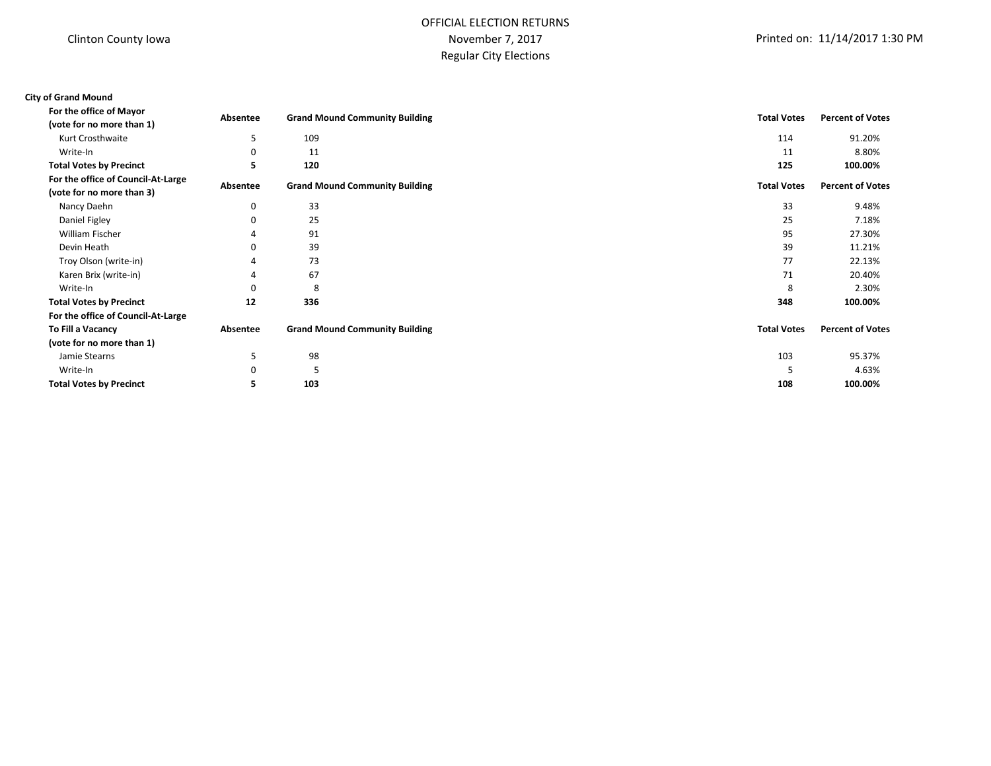# OFFICIAL ELECTION RETURNS November 7, 2017 Regular City Elections

| <b>City of Grand Mound</b>                                      |          |                                       |                    |                         |
|-----------------------------------------------------------------|----------|---------------------------------------|--------------------|-------------------------|
| For the office of Mayor<br>(vote for no more than 1)            | Absentee | <b>Grand Mound Community Building</b> | <b>Total Votes</b> | <b>Percent of Votes</b> |
| Kurt Crosthwaite                                                | 5        | 109                                   | 114                | 91.20%                  |
| Write-In                                                        |          | 11                                    | 11                 | 8.80%                   |
| <b>Total Votes by Precinct</b>                                  | 5        | 120                                   | 125                | 100.00%                 |
| For the office of Council-At-Large<br>(vote for no more than 3) | Absentee | <b>Grand Mound Community Building</b> | <b>Total Votes</b> | <b>Percent of Votes</b> |
| Nancy Daehn                                                     | 0        | 33                                    | 33                 | 9.48%                   |
| Daniel Figley                                                   |          | 25                                    | 25                 | 7.18%                   |
| <b>William Fischer</b>                                          |          | 91                                    | 95                 | 27.30%                  |
| Devin Heath                                                     |          | 39                                    | 39                 | 11.21%                  |
| Troy Olson (write-in)                                           |          | 73                                    | 77                 | 22.13%                  |
| Karen Brix (write-in)                                           |          | 67                                    | 71                 | 20.40%                  |
| Write-In                                                        |          | 8                                     | 8                  | 2.30%                   |
| <b>Total Votes by Precinct</b>                                  | 12       | 336                                   | 348                | 100.00%                 |
| For the office of Council-At-Large                              |          |                                       |                    |                         |
| To Fill a Vacancy                                               | Absentee | <b>Grand Mound Community Building</b> | <b>Total Votes</b> | <b>Percent of Votes</b> |
| (vote for no more than 1)                                       |          |                                       |                    |                         |
| Jamie Stearns                                                   | 5        | 98                                    | 103                | 95.37%                  |
| Write-In                                                        |          | 5                                     | 5                  | 4.63%                   |
| <b>Total Votes by Precinct</b>                                  |          | 103                                   | 108                | 100.00%                 |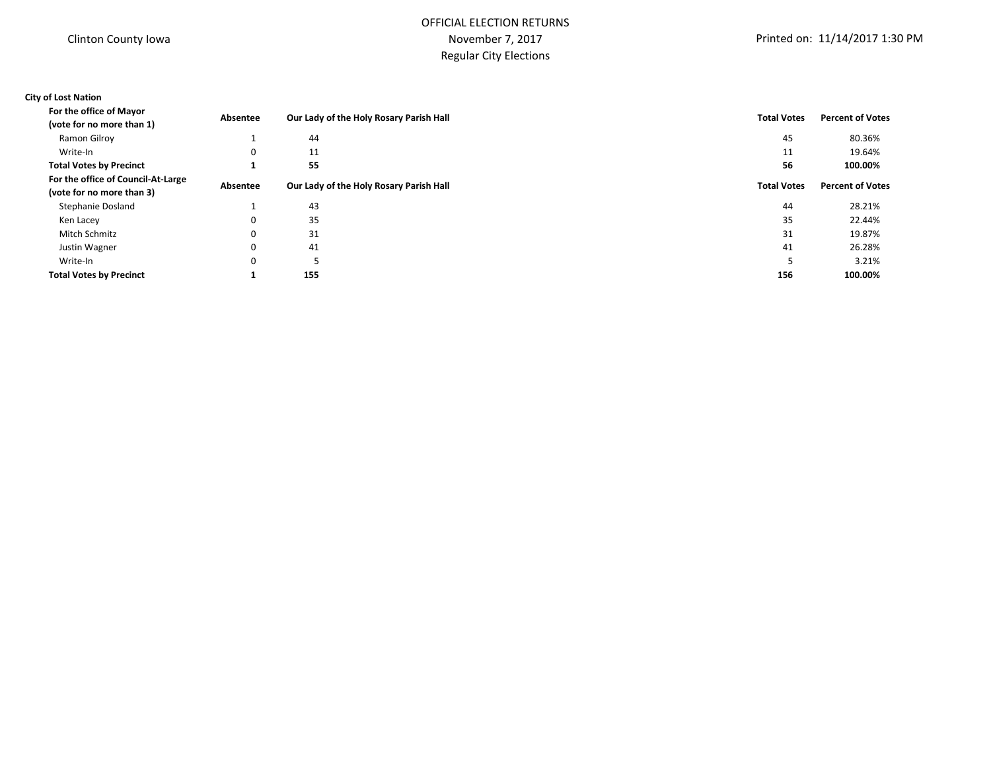# OFFICIAL ELECTION RETURNS November 7, 2017 Regular City Elections

### **City of Lost Nation**

| For the office of Mayor<br>(vote for no more than 1)            | Absentee | Our Lady of the Holy Rosary Parish Hall | <b>Total Votes</b> | <b>Percent of Votes</b> |
|-----------------------------------------------------------------|----------|-----------------------------------------|--------------------|-------------------------|
| Ramon Gilroy                                                    |          | 44                                      | 45                 | 80.36%                  |
| Write-In                                                        | 0        | 11                                      | 11                 | 19.64%                  |
| <b>Total Votes by Precinct</b>                                  |          | 55                                      | 56                 | 100.00%                 |
| For the office of Council-At-Large<br>(vote for no more than 3) | Absentee | Our Lady of the Holy Rosary Parish Hall | <b>Total Votes</b> | <b>Percent of Votes</b> |
| <b>Stephanie Dosland</b>                                        |          | 43                                      | 44                 | 28.21%                  |
| Ken Lacey                                                       | $\Omega$ | 35                                      | 35                 | 22.44%                  |
| Mitch Schmitz                                                   | $\Omega$ | 31                                      | 31                 | 19.87%                  |
| Justin Wagner                                                   | $\Omega$ | 41                                      | 41                 | 26.28%                  |
| Write-In                                                        | $\Omega$ |                                         |                    | 3.21%                   |
| <b>Total Votes by Precinct</b>                                  | л.       | 155                                     | 156                | 100.00%                 |
|                                                                 |          |                                         |                    |                         |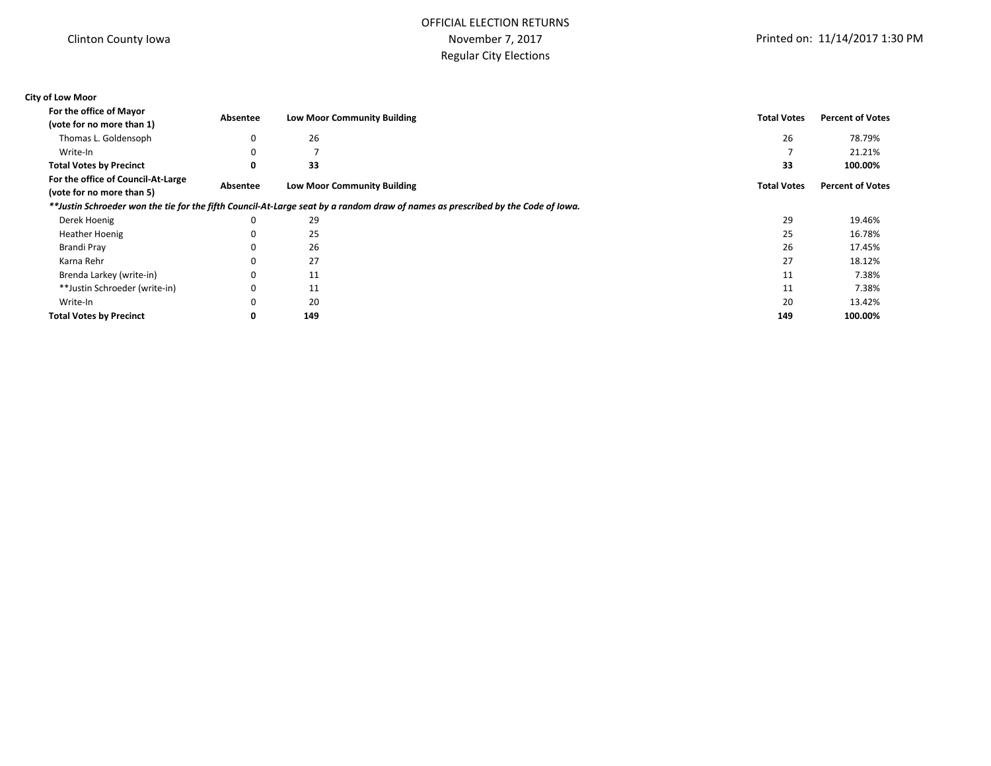# OFFICIAL ELECTION RETURNS November 7, 2017 Regular City Elections

### **City of Low Moor For the office of Mayor**

| <b>I'VI LIIC VIIILC VI IVIAYVI</b>                              | Absentee | <b>Low Moor Community Building</b>                                                                                              | <b>Total Votes</b> | <b>Percent of Votes</b> |
|-----------------------------------------------------------------|----------|---------------------------------------------------------------------------------------------------------------------------------|--------------------|-------------------------|
| (vote for no more than 1)                                       |          |                                                                                                                                 |                    |                         |
| Thomas L. Goldensoph                                            | 0        | 26                                                                                                                              | 26                 | 78.79%                  |
| Write-In                                                        | $\Omega$ |                                                                                                                                 |                    | 21.21%                  |
| <b>Total Votes by Precinct</b>                                  | 0        | 33                                                                                                                              | 33                 | 100.00%                 |
| For the office of Council-At-Large<br>(vote for no more than 5) | Absentee | <b>Low Moor Community Building</b>                                                                                              | <b>Total Votes</b> | <b>Percent of Votes</b> |
|                                                                 |          | **Justin Schroeder won the tie for the fifth Council-At-Large seat by a random draw of names as prescribed by the Code of Iowa. |                    |                         |
| Derek Hoenig                                                    | $\Omega$ | 29                                                                                                                              | 29                 | 19.46%                  |
| <b>Heather Hoenig</b>                                           | $\Omega$ | 25                                                                                                                              | 25                 | 16.78%                  |
| Brandi Pray                                                     |          | 26                                                                                                                              | 26                 | 17.45%                  |
| Karna Rehr                                                      | 0        | 27                                                                                                                              | 27                 | 18.12%                  |
| Brenda Larkey (write-in)                                        | $\Omega$ | 11                                                                                                                              | 11                 | 7.38%                   |
| **Justin Schroeder (write-in)                                   | $\Omega$ | 11                                                                                                                              | 11                 | 7.38%                   |
| Write-In                                                        | $\Omega$ | 20                                                                                                                              | 20                 | 13.42%                  |
| <b>Total Votes by Precinct</b>                                  | 0        | 149                                                                                                                             | 149                | 100.00%                 |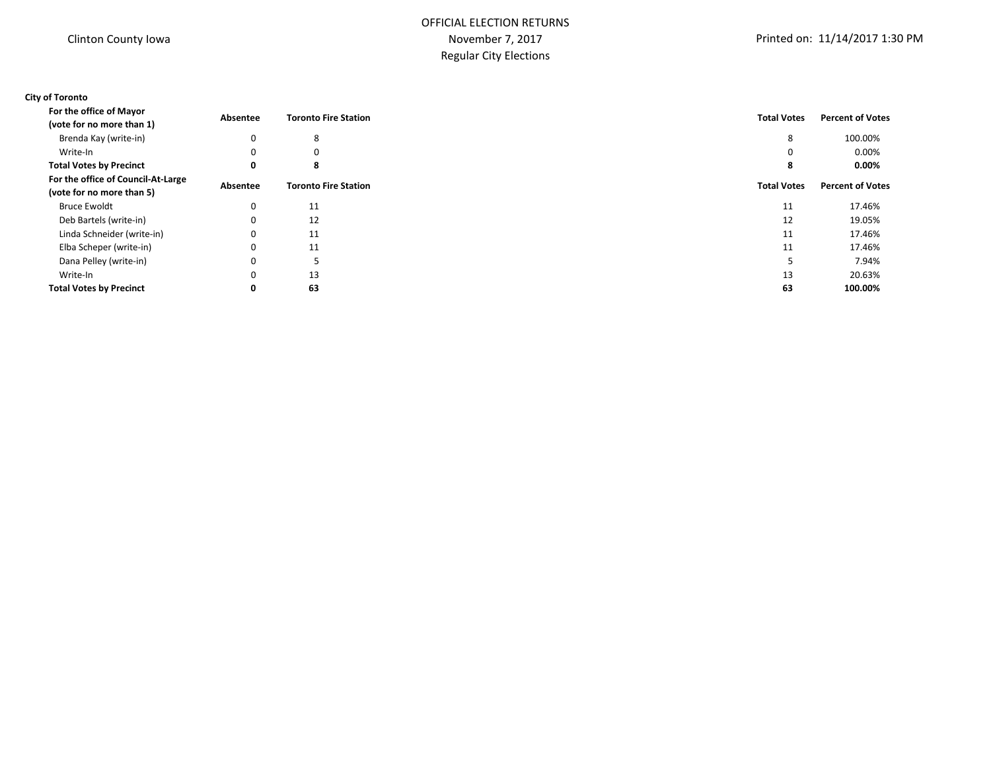### **City of Toronto**

| For the office of Mayor                                         | Absentee    | <b>Toronto Fire Station</b> | <b>Total Votes</b> | <b>Percent of Votes</b> |
|-----------------------------------------------------------------|-------------|-----------------------------|--------------------|-------------------------|
| (vote for no more than 1)                                       |             |                             |                    |                         |
| Brenda Kay (write-in)                                           | 0           | 8                           | 8                  | 100.00%                 |
| Write-In                                                        | 0           | 0                           | 0                  | $0.00\%$                |
| <b>Total Votes by Precinct</b>                                  | 0           | 8                           | 8                  | 0.00%                   |
| For the office of Council-At-Large<br>(vote for no more than 5) | Absentee    | <b>Toronto Fire Station</b> | <b>Total Votes</b> | <b>Percent of Votes</b> |
| <b>Bruce Ewoldt</b>                                             | 0           | 11                          | 11                 | 17.46%                  |
| Deb Bartels (write-in)                                          | 0           | 12                          | 12                 | 19.05%                  |
| Linda Schneider (write-in)                                      | 0           | 11                          | 11                 | 17.46%                  |
| Elba Scheper (write-in)                                         | 0           | 11                          | 11                 | 17.46%                  |
| Dana Pelley (write-in)                                          | 0           |                             |                    | 7.94%                   |
| Write-In                                                        | $\mathbf 0$ | 13                          | 13                 | 20.63%                  |
| <b>Total Votes by Precinct</b>                                  | 0           | 63                          | 63                 | 100.00%                 |
|                                                                 |             |                             |                    |                         |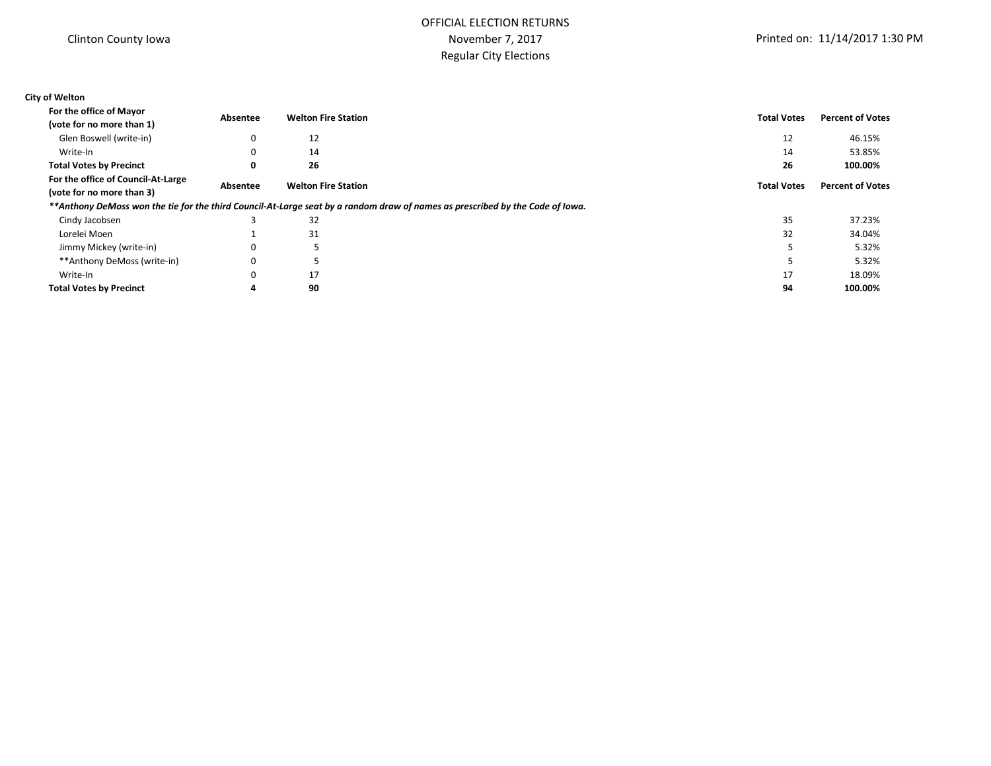# OFFICIAL ELECTION RETURNS November 7, 2017 Regular City Elections

### **City of Welton**

| For the office of Mayor                                         | Absentee | <b>Welton Fire Station</b> | <b>Total Votes</b>                                                                                                            | <b>Percent of Votes</b> |
|-----------------------------------------------------------------|----------|----------------------------|-------------------------------------------------------------------------------------------------------------------------------|-------------------------|
| (vote for no more than 1)                                       |          |                            |                                                                                                                               |                         |
| Glen Boswell (write-in)                                         | 0        | 12                         | 12                                                                                                                            | 46.15%                  |
| Write-In                                                        | 0        | 14                         | 14                                                                                                                            | 53.85%                  |
| <b>Total Votes by Precinct</b>                                  | 0        | 26                         | 26                                                                                                                            | 100.00%                 |
| For the office of Council-At-Large<br>(vote for no more than 3) | Absentee | <b>Welton Fire Station</b> | <b>Total Votes</b>                                                                                                            | <b>Percent of Votes</b> |
|                                                                 |          |                            | **Anthony DeMoss won the tie for the third Council-At-Large seat by a random draw of names as prescribed by the Code of Iowa. |                         |
| Cindy Jacobsen                                                  |          | 32                         | 35                                                                                                                            | 37.23%                  |
| Lorelei Moen                                                    |          | 31                         | 32                                                                                                                            | 34.04%                  |
| Jimmy Mickey (write-in)                                         | 0        |                            |                                                                                                                               | 5.32%                   |
| **Anthony DeMoss (write-in)                                     | 0        |                            |                                                                                                                               | 5.32%                   |
| Write-In                                                        |          | 17                         | 17                                                                                                                            | 18.09%                  |
| <b>Total Votes by Precinct</b>                                  | 4        | 90                         | 94                                                                                                                            | 100.00%                 |
|                                                                 |          |                            |                                                                                                                               |                         |